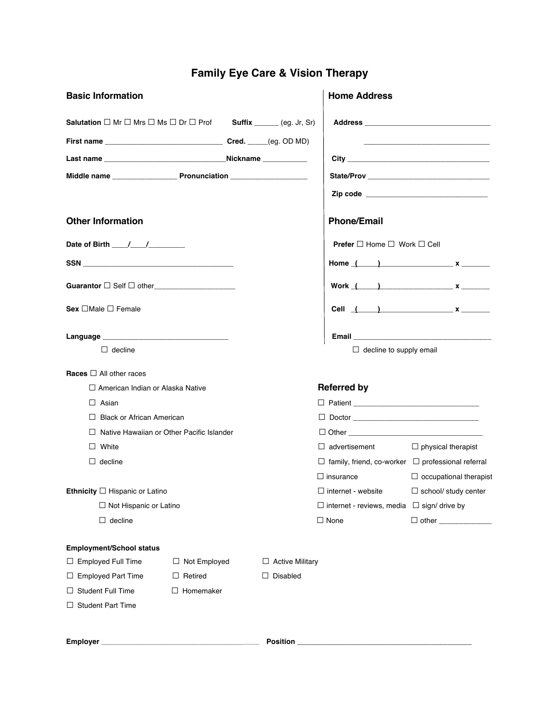# **Family Eye Care & Vision Therapy**

| <b>Basic Information</b>                                                                                |                     |                        | <b>Home Address</b>                                           |                                           |
|---------------------------------------------------------------------------------------------------------|---------------------|------------------------|---------------------------------------------------------------|-------------------------------------------|
| <b>Salutation</b> $\Box$ Mr $\Box$ Mrs $\Box$ Ms $\Box$ Dr $\Box$ Prof <b>Suffix</b> _____ (eg. Jr, Sr) |                     |                        |                                                               |                                           |
|                                                                                                         |                     |                        |                                                               |                                           |
|                                                                                                         |                     |                        |                                                               |                                           |
|                                                                                                         |                     |                        |                                                               |                                           |
|                                                                                                         |                     |                        |                                                               | Zip code ________________________________ |
| <b>Other Information</b>                                                                                |                     |                        | <b>Phone/Email</b>                                            |                                           |
|                                                                                                         |                     |                        | <b>Prefer</b> $\Box$ Home $\Box$ Work $\Box$ Cell             |                                           |
|                                                                                                         |                     |                        |                                                               | Home $($ $)$ $x$ $)$                      |
|                                                                                                         |                     |                        |                                                               | Work $($ $)$                              |
| $Sex \Box$ Male $\Box$ Female                                                                           |                     |                        |                                                               | Cell $( )$ x                              |
|                                                                                                         |                     |                        |                                                               |                                           |
| $\Box$ decline                                                                                          |                     |                        | $\Box$ decline to supply email                                |                                           |
| Races $\Box$ All other races                                                                            |                     |                        |                                                               |                                           |
| □ American Indian or Alaska Native                                                                      |                     |                        | <b>Referred by</b>                                            |                                           |
| $\Box$ Asian                                                                                            |                     |                        |                                                               |                                           |
| $\Box$ Black or African American                                                                        |                     |                        |                                                               |                                           |
| $\Box$ Native Hawaiian or Other Pacific Islander                                                        |                     |                        |                                                               |                                           |
| $\Box$ White                                                                                            |                     |                        | $\Box$ advertisement                                          | $\Box$ physical therapist                 |
| $\Box$ decline                                                                                          |                     |                        | $\Box$ family, friend, co-worker $\Box$ professional referral |                                           |
|                                                                                                         |                     |                        | $\Box$ insurance                                              | $\Box$ occupational therapist             |
| Ethnicity $\Box$ Hispanic or Latino                                                                     |                     |                        | $\Box$ internet - website                                     | $\Box$ school/ study center               |
| □ Not Hispanic or Latino                                                                                |                     |                        | $\Box$ internet - reviews, media $\Box$ sign/ drive by        |                                           |
| $\Box$ decline                                                                                          |                     |                        | $\Box$ None                                                   | $\Box$ other $\Box$                       |
| Employment/School status                                                                                |                     |                        |                                                               |                                           |
| $\Box$ Employed Full Time                                                                               | $\Box$ Not Employed | $\Box$ Active Military |                                                               |                                           |
| $\Box$ Employed Part Time                                                                               | $\Box$ Retired      | $\Box$ Disabled        |                                                               |                                           |
| $\Box$ Student Full Time                                                                                | Homemaker<br>Ш.     |                        |                                                               |                                           |
| $\Box$ Student Part Time                                                                                |                     |                        |                                                               |                                           |
|                                                                                                         |                     | Position _             |                                                               |                                           |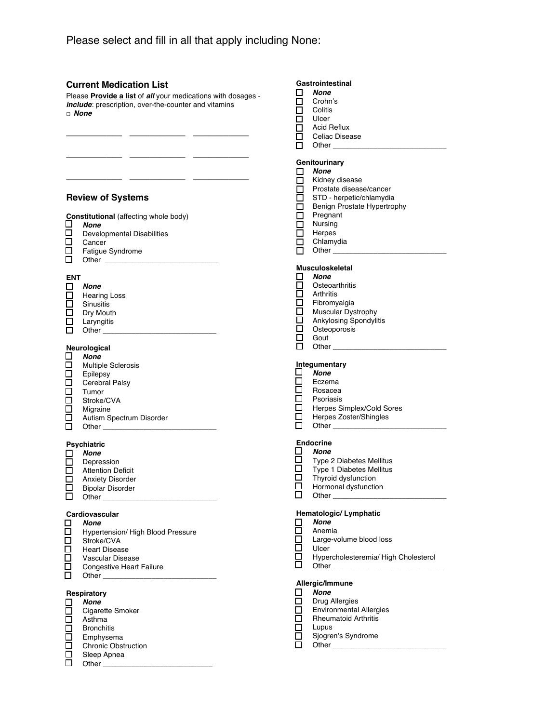### **Current Medication List**

Please **Provide a list** of *all* your medications with dosages *include*: prescription, over-the-counter and vitamins □ *None*

**\_\_\_\_\_\_\_\_\_\_\_ \_\_\_\_\_\_\_\_\_\_\_ \_\_\_\_\_\_\_\_\_\_\_**

**\_\_\_\_\_\_\_\_\_\_\_ \_\_\_\_\_\_\_\_\_\_\_ \_\_\_\_\_\_\_\_\_\_\_**

**\_\_\_\_\_\_\_\_\_\_\_ \_\_\_\_\_\_\_\_\_\_\_ \_\_\_\_\_\_\_\_\_\_\_**

|                                     | <b>Review of Systems</b>                                                                                                                                                                                                                                                                                                                                     |  |
|-------------------------------------|--------------------------------------------------------------------------------------------------------------------------------------------------------------------------------------------------------------------------------------------------------------------------------------------------------------------------------------------------------------|--|
| □<br>$\Box$<br>□<br>ō               | <b>Constitutional</b> (affecting whole body)<br><b>None</b><br><b>Developmental Disabilities</b><br>Cancer<br>Fatigue Syndrome                                                                                                                                                                                                                               |  |
| <b>ENT</b><br>$\Box$<br>0<br>0<br>0 | None<br><b>Hearing Loss</b><br>Sinusitis<br>Dry Mouth<br>Laryngitis                                                                                                                                                                                                                                                                                          |  |
| □<br>⊡<br>00000<br>$\Box$           | Neurological<br><b>None</b><br><b>Multiple Sclerosis</b><br>Epilepsy<br>Cerebral Palsy<br>Tumor<br>Stroke/CVA<br>Migraine<br>Autism Spectrum Disorder                                                                                                                                                                                                        |  |
| $\Box$<br>П                         | Psychiatric<br><b>None</b><br>Depression<br><b>Attention Deficit</b><br><b>Anxiety Disorder</b><br><b>Bipolar Disorder</b><br>Other the contract of the contract of the contract of the contract of the contract of the contract of the contract of the contract of the contract of the contract of the contract of the contract of the contract of the cont |  |
| □<br>$\Box$<br>n                    | Cardiovascular<br><b>None</b><br>Hypertension/ High Blood Pressure<br>Stroka/CVA                                                                                                                                                                                                                                                                             |  |

- Stroke/CVA
- □ Heart Disease<br>□ Vascular Disea
- □ Vascular Disease<br>□ Congestive Heart
- Congestive Heart Failure
- $\Box$  Other

#### **Respiratory**

- *None* **C**igarette Smoker
- Asthma
- $\overline{\Box}$  Bronchitis
- Emphysema
- 
- □ Chronic Obstruction<br>□ Sleep Apnea Sleep Apnea
- $\Box$  Other  $\_$

# Gastrointestinal<br>
<u>I</u> None

- *None*
- □ Crohn's<br>□ Colitis
	- **Colitis**
- $\overline{\Box}$  Ulcer
- Acid Reflux
- Celiac Disease<br>
Other \_\_\_\_\_\_\_\_ Other \_

#### **Genitourinary**

- *None*
- □ Kidney disease<br>□ Prostate disease
- □ Prostate disease/cancer<br>□ STD herpetic/chlamydia
	- STD herpetic/chlamydia
- Benign Prostate Hypertrophy<br>
Pregnant
	- Pregnant
- □ Nursing<br>□ Herpes
- □ Herpes<br>□ Chlamy Chlamydia
	-
- $\Box$  Other

# **Musculoskeletal**<br>□ *None*

- *None*
- □ Osteoarthritis<br>□ Arthritis
- $\square$  Arthritis<br> $\square$  Fibromy
- $\square$  Fibromyalgia<br> $\square$  Muscular Dvs
- □ Muscular Dystrophy<br>□ Ankylosing Spondyli
- □ Ankylosing Spondylitis<br>□ Osteoporosis
- □ Osteoporosis<br>□ Gout
- $\Box$  Gout<br> $\Box$  Other Other \_

# **Integumentary**

- *None*
- □ Eczema<br>□ Rosacea
- $\Box$  Rosacea<br>  $\Box$  Psoriasis
- □ Psoriasis<br>□ Herpes Si
- □ Herpes Simplex/Cold Sores<br>□ Herpes Zoster/Shingles Herpes Zoster/Shingles
- $\Box$  Other

# Endocrine<br> **C** None

- **□ None**<br>□ Type:
- $\Box$  Type 2 Diabetes Mellitus<br> $\Box$  Type 1 Diabetes Mellitus
- $\square$  Type 1 Diabetes Mellitus<br> $\square$  Thyroid dysfunction
- $\square$  Thyroid dysfunction<br> $\square$  Hormonal dysfunction
- $\Box$  Hormonal dysfunction Other
	-

# **Hematologic/ Lymphatic**

- □ *None*<br>□ Anem<br>□ Large
	- Anemia
- $\Box$  Large-volume blood loss<br> $\Box$  Ulcer
- □ Ulcer<br>□ Hyper
- □ Hypercholesteremia/ High Cholesterol<br>□ Other Other

#### **Allergic/Immune**

- *None*
- □ Drug Allergies<br>□ Environmental
- Environmental Allergies<br> **Environmental Arthritis**
- □ Rheumatoid Arthritis<br>□ Lupus
- □ Lupus<br>□ Sjogre □ Sjogren's Syndrome<br>□ Other \_\_\_\_\_\_\_\_\_\_
	- Other $\_$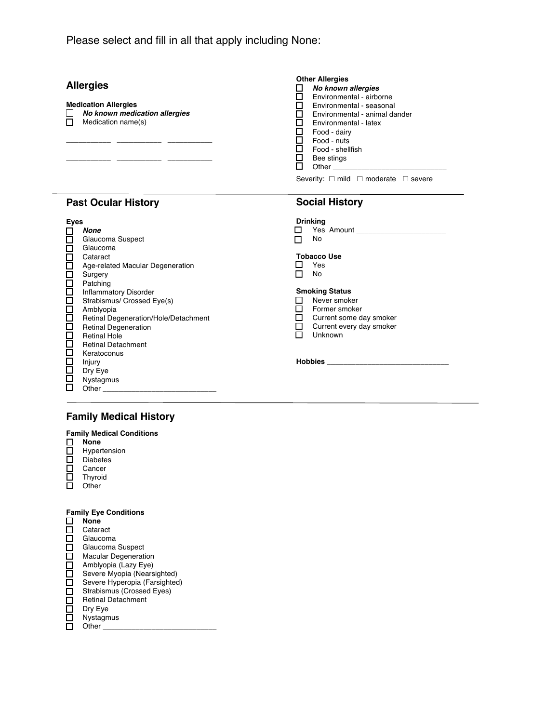Please select and fill in all that apply including None:

## **Allergies**

#### **Medication Allergies**

 *No known medication allergies*  $\Box$  Medication name(s)

**\_\_\_\_\_\_\_\_\_\_\_ \_\_\_\_\_\_\_\_\_\_\_ \_\_\_\_\_\_\_\_\_\_\_ \_\_\_\_\_\_\_\_\_\_\_ \_\_\_\_\_\_\_\_\_\_\_ \_\_\_\_\_\_\_\_\_\_\_**

#### **Other Allergies**

- *No known allergies* Environmental - airborne
- Environmental seasonal
- Environmental animal dander
- $\Box$  Environmental latex
- Food dairy
- Food nuts

**Social History**

- Food shellfish
- $\overline{\Box}$  Bee stings  $\Box$  Other \_\_\_\_\_

Severity: □ mild □ moderate □ severe

# **Past Ocular History**

| <b>Eyes</b> |                                      | <b>Drinking</b>                                                                                                     |
|-------------|--------------------------------------|---------------------------------------------------------------------------------------------------------------------|
| ш           | None                                 | <b>The School School School School School School School School School School School School School School School</b> |
| □           | Glaucoma Suspect                     | No                                                                                                                  |
| □           | Glaucoma                             |                                                                                                                     |
| □           | Cataract                             | Tobacco Use                                                                                                         |
| $\Box$      | Age-related Macular Degeneration     | Yes                                                                                                                 |
| $\Box$      | Surgery                              | No                                                                                                                  |
| $\Box$      | Patching                             |                                                                                                                     |
| $\Box$      | <b>Inflammatory Disorder</b>         | <b>Smoking Status</b>                                                                                               |
| □           | Strabismus/ Crossed Eye(s)           | Never smoker                                                                                                        |
| $\Box$      | Amblyopia                            | Former smoker                                                                                                       |
| $\Box$      | Retinal Degeneration/Hole/Detachment | Current some day smoker                                                                                             |
| $\Box$      | <b>Retinal Degeneration</b>          | Current every day smoker                                                                                            |
| $\Box$      | <b>Retinal Hole</b>                  | Unknown                                                                                                             |
| $\Box$      | <b>Retinal Detachment</b>            |                                                                                                                     |
| $\Box$      | Keratoconus                          |                                                                                                                     |
| $\Box$      | Injury                               | <b>Hobbies Example 1996</b>                                                                                         |
| $\Box$      | Dry Eye                              |                                                                                                                     |
|             | Nystagmus                            |                                                                                                                     |
| □           | <b>Other Community</b>               |                                                                                                                     |
|             |                                      |                                                                                                                     |

# **Family Medical History**

#### **Family Medical Conditions None**  $\Box$  Hypertension

- Diabetes □ Cancer
- $\square$  Thyroid Other \_\_\_\_\_\_\_\_\_\_\_\_\_\_\_\_\_\_\_\_\_\_\_\_\_\_\_\_

#### **Family Eye Conditions**

|    | None                          |
|----|-------------------------------|
| L  | Cataract                      |
| ப  | Glaucoma                      |
| H  | Glaucoma Suspect              |
| П  | <b>Macular Degeneration</b>   |
| □  | Amblyopia (Lazy Eye)          |
| П  | Severe Myopia (Nearsighted)   |
| П  | Severe Hyperopia (Farsighted) |
| П  | Strabismus (Crossed Eyes)     |
| П  | <b>Retinal Detachment</b>     |
| LТ | Dry Eye                       |
| H  | Nystagmus                     |
|    | Other                         |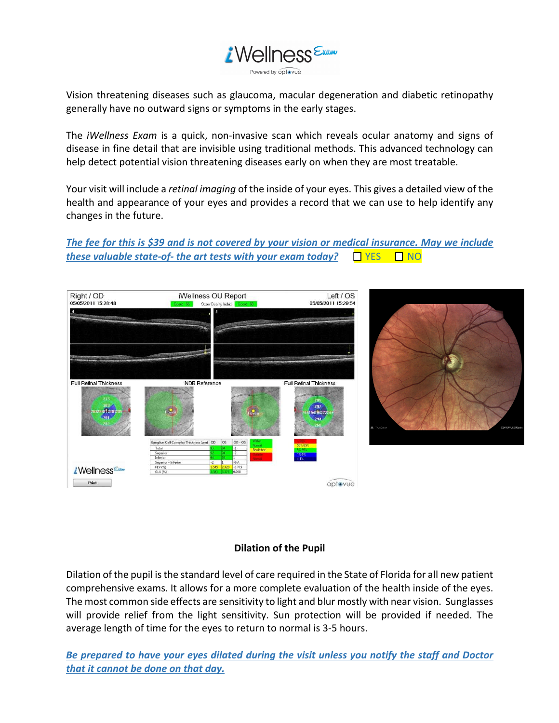

Vision threatening diseases such as glaucoma, macular degeneration and diabetic retinopathy generally have no outward signs or symptoms in the early stages.

The *iWellness Exam* is a quick, non-invasive scan which reveals ocular anatomy and signs of disease in fine detail that are invisible using traditional methods. This advanced technology can help detect potential vision threatening diseases early on when they are most treatable.

Your visit will include a *retinal imaging* of the inside of your eyes. This gives a detailed view of the health and appearance of your eyes and provides a record that we can use to help identify any changes in the future.

*The fee for this is \$39 and is not covered by your vision or medical insurance. May we include these valuable state-of- the art tests with your exam today?*  $\Box$  YES  $\Box$  NO



### **Dilation of the Pupil**

Dilation of the pupil is the standard level of care required in the State of Florida for all new patient comprehensive exams. It allows for a more complete evaluation of the health inside of the eyes. The most common side effects are sensitivity to light and blur mostly with near vision. Sunglasses will provide relief from the light sensitivity. Sun protection will be provided if needed. The average length of time for the eyes to return to normal is 3-5 hours.

*Be prepared to have your eyes dilated during the visit unless you notify the staff and Doctor that it cannot be done on that day.*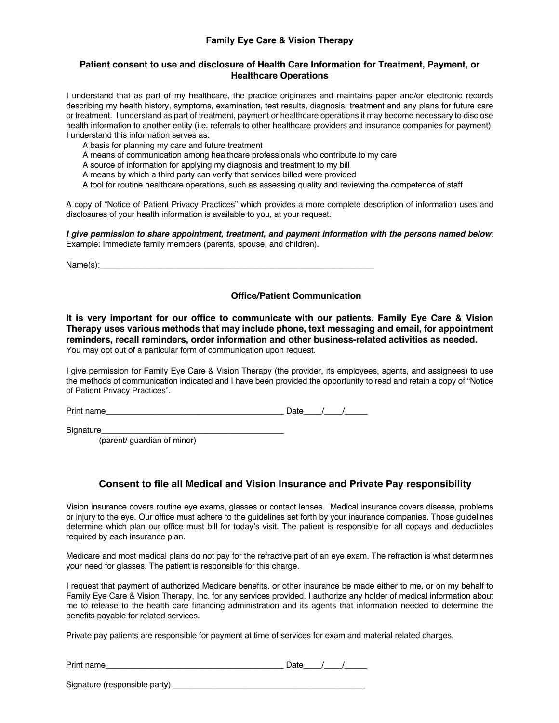### **Family Eye Care & Vision Therapy**

#### **Patient consent to use and disclosure of Health Care Information for Treatment, Payment, or Healthcare Operations**

I understand that as part of my healthcare, the practice originates and maintains paper and/or electronic records describing my health history, symptoms, examination, test results, diagnosis, treatment and any plans for future care or treatment. I understand as part of treatment, payment or healthcare operations it may become necessary to disclose health information to another entity (i.e. referrals to other healthcare providers and insurance companies for payment). I understand this information serves as:

A basis for planning my care and future treatment

A means of communication among healthcare professionals who contribute to my care

A source of information for applying my diagnosis and treatment to my bill

A means by which a third party can verify that services billed were provided

A tool for routine healthcare operations, such as assessing quality and reviewing the competence of staff

A copy of "Notice of Patient Privacy Practices" which provides a more complete description of information uses and disclosures of your health information is available to you, at your request.

*I give permission to share appointment, treatment, and payment information with the persons named below:* Example: Immediate family members (parents, spouse, and children).

 $Name(s):$ 

### **Office/Patient Communication**

**It is very important for our office to communicate with our patients. Family Eye Care & Vision Therapy uses various methods that may include phone, text messaging and email, for appointment reminders, recall reminders, order information and other business-related activities as needed.** You may opt out of a particular form of communication upon request.

I give permission for Family Eye Care & Vision Therapy (the provider, its employees, agents, and assignees) to use the methods of communication indicated and I have been provided the opportunity to read and retain a copy of "Notice of Patient Privacy Practices".

Print name\_\_\_\_\_\_\_\_\_\_\_\_\_\_\_\_\_\_\_\_\_\_\_\_\_\_\_\_\_\_\_\_\_\_\_\_\_\_\_ Date\_\_\_\_/\_\_\_\_/\_\_\_\_\_

Signature\_\_\_\_\_\_\_\_\_\_\_\_\_\_\_\_\_\_\_\_\_\_\_\_\_\_\_\_\_\_\_\_\_\_\_\_\_\_\_\_

(parent/ guardian of minor)

### **Consent to file all Medical and Vision Insurance and Private Pay responsibility**

Vision insurance covers routine eye exams, glasses or contact lenses. Medical insurance covers disease, problems or injury to the eye. Our office must adhere to the guidelines set forth by your insurance companies. Those guidelines determine which plan our office must bill for today's visit. The patient is responsible for all copays and deductibles required by each insurance plan.

Medicare and most medical plans do not pay for the refractive part of an eye exam. The refraction is what determines your need for glasses. The patient is responsible for this charge.

I request that payment of authorized Medicare benefits, or other insurance be made either to me, or on my behalf to Family Eye Care & Vision Therapy, Inc. for any services provided. I authorize any holder of medical information about me to release to the health care financing administration and its agents that information needed to determine the benefits payable for related services.

Private pay patients are responsible for payment at time of services for exam and material related charges.

| Dullas i<br>$ -$<br>Print name | . . |  |
|--------------------------------|-----|--|
|                                |     |  |

Signature (responsible party)